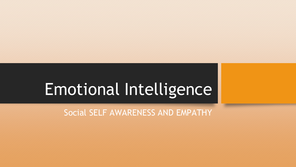# Emotional Intelligence

Social SELF AWARENESS AND EMPATHY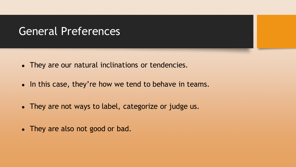### General Preferences

- They are our natural inclinations or tendencies.
- In this case, they're how we tend to behave in teams.
- They are not ways to label, categorize or judge us.
- They are also not good or bad.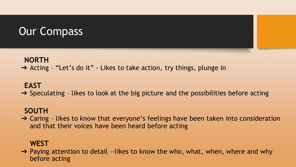# Our Compass

#### **NORTH**

➔ Acting – "Let's do it" - Likes to take action, try things, plunge in

#### **EAST**

 $\rightarrow$  Speculating - likes to look at the big picture and the possibilities before acting

### **SOUTH**

 $\rightarrow$  Caring - likes to know that everyone's feelings have been taken into consideration and that their voices have been heard before acting

### **WEST**

 $\rightarrow$  Paying attention to detail  $-i$  likes to know the who, what, when, where and why before acting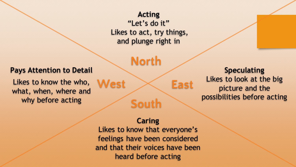### **Acting**  "Let's do it" Likes to act, try things, and plunge right in

North

#### **Pays Attention to Detail**

Likes to know the who, what, when, where and why before acting

**Speculating** Likes to look at the big picture and the possibilities before acting

#### **Caring**

**South** 

West  $\times$  East

Likes to know that everyone's feelings have been considered and that their voices have been heard before acting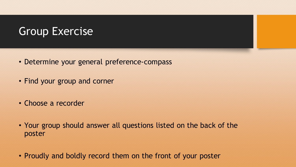# Group Exercise

- Determine your general preference-compass
- Find your group and corner
- Choose a recorder
- Your group should answer all questions listed on the back of the poster
- Proudly and boldly record them on the front of your poster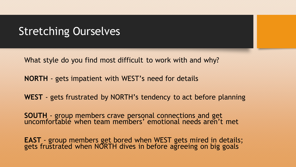### Stretching Ourselves

What style do you find most difficult to work with and why?

**NORTH** - gets impatient with WEST's need for details

**WEST** - gets frustrated by NORTH's tendency to act before planning

**SOUTH** - group members crave personal connections and get uncomfortable when team members' emotional needs aren't met

**EAST** - group members get bored when WEST gets mired in details; gets frustrated when NORTH dives in before agreeing on big goals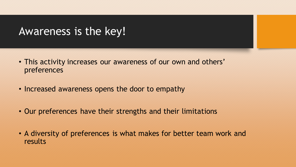### Awareness is the key!

- This activity increases our awareness of our own and others' preferences
- Increased awareness opens the door to empathy
- Our preferences have their strengths and their limitations
- A diversity of preferences is what makes for better team work and results